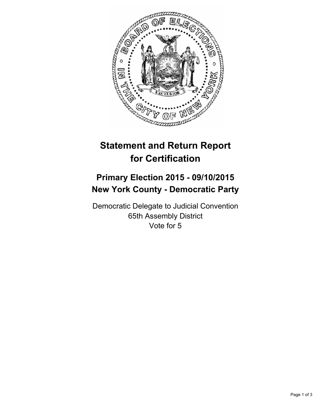

## **Statement and Return Report for Certification**

## **Primary Election 2015 - 09/10/2015 New York County - Democratic Party**

Democratic Delegate to Judicial Convention 65th Assembly District Vote for 5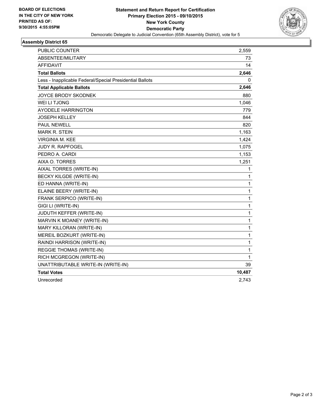

## **Assembly District 65**

| PUBLIC COUNTER                                           | 2,559  |
|----------------------------------------------------------|--------|
| ABSENTEE/MILITARY                                        | 73     |
| AFFIDAVIT                                                | 14     |
| <b>Total Ballots</b>                                     | 2,646  |
| Less - Inapplicable Federal/Special Presidential Ballots | 0      |
| <b>Total Applicable Ballots</b>                          | 2,646  |
| <b>JOYCE BRODY SKODNEK</b>                               | 880    |
| <b>WEI LI TJONG</b>                                      | 1,046  |
| <b>AYODELE HARRINGTON</b>                                | 779    |
| <b>JOSEPH KELLEY</b>                                     | 844    |
| <b>PAUL NEWELL</b>                                       | 820    |
| <b>MARK R. STEIN</b>                                     | 1,163  |
| VIRGINIA M. KEE                                          | 1,424  |
| <b>JUDY R. RAPFOGEL</b>                                  | 1,075  |
| PEDRO A. CARDI                                           | 1,153  |
| AIXA O. TORRES                                           | 1,251  |
| AIXAL TORRES (WRITE-IN)                                  | 1      |
| BECKY KILGDE (WRITE-IN)                                  | 1      |
| ED HANNA (WRITE-IN)                                      | 1      |
| ELAINE BEERY (WRITE-IN)                                  | 1      |
| FRANK SERPICO (WRITE-IN)                                 | 1      |
| GIGI LI (WRITE-IN)                                       | 1      |
| JUDUTH KEFFER (WRITE-IN)                                 | 1      |
| MARVIN K MOANEY (WRITE-IN)                               | 1      |
| MARY KILLORAN (WRITE-IN)                                 | 1      |
| MEREIL BOZKURT (WRITE-IN)                                | 1      |
| RAINDI HARRISON (WRITE-IN)                               | 1      |
| <b>REGGIE THOMAS (WRITE-IN)</b>                          | 1      |
| RICH MCGREGON (WRITE-IN)                                 | 1      |
| UNATTRIBUTABLE WRITE-IN (WRITE-IN)                       | 39     |
| <b>Total Votes</b>                                       | 10,487 |
| Unrecorded                                               | 2,743  |